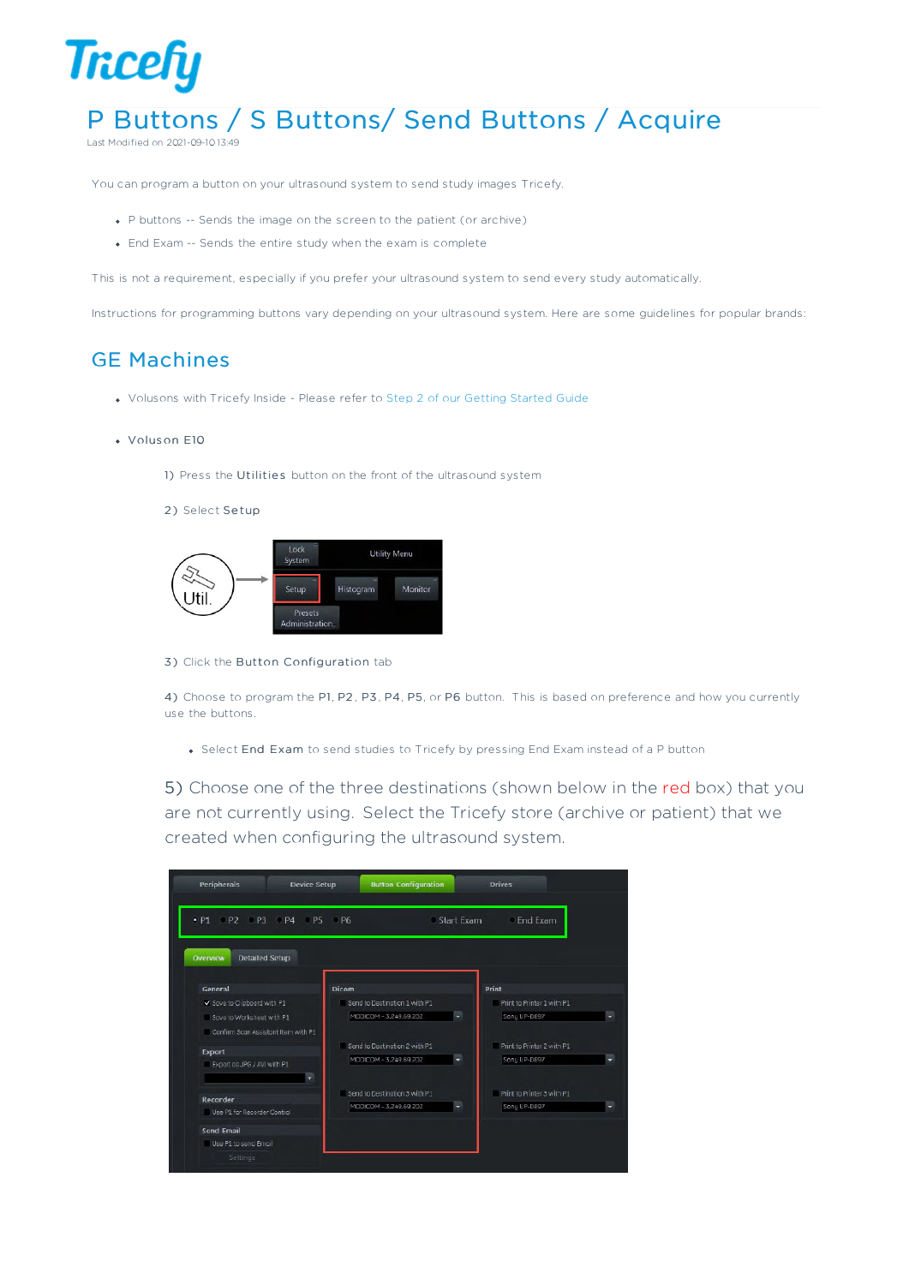

# P Buttons / S Buttons/ Send Buttons / Acquire

Last Modified on 2021-09-10 13:49

You can program a button on your ultrasound system to send study images Tricefy.

- P buttons -- Sends the image on the screen to the patient (or archive)
- End Exam -- Sends the entire study when the exam is complete

This is not a requirement, especially if you prefer your ultrasound system to send every study automatically.

Instructions for programming buttons vary depending on your ultrasound system. Here are some guidelines for popular brands:

## GE Machines

Volusons with Tricefy Inside - Please refer to Step 2 of our Getting Started Guide

#### Volus on E10

1) Press the Utilities button on the front of the ultrasound system

2) Select Setup



3) Click the Button Configuration tab

4) Choose to program the P1, P2 , P3, P4, P5, or P6 button. This is based on preference and how you currently use the buttons.

Select End Exam to send studies to Tricefy by pressing End Exam instead of a P button

5) Choose one of the three destinations (shown below in the red box) that you are not currently using. Select the Tricefy store (archive or patient) that we created when configuring the ultrasound system.

| <b>Detailed Setup</b><br>Overview            |                               |                            |
|----------------------------------------------|-------------------------------|----------------------------|
| General                                      | Dicom                         | Print                      |
| Save to Clipboard with P1                    | Send to Destination 1 with P1 | Print to Printer 1 with P1 |
| Sove to Worksheet with P1                    | MODICOM - 3,249.69.202        | Sony UP-D897               |
| Confirm Scon Assistant Item with P1          |                               |                            |
|                                              | Send to Destination 2 with P1 | Print to Printer 2 with P1 |
| <b>Export</b><br>Export as JPG / AVI with P1 | MODICOM - 3.249.69.202        | Sony UP-D897               |
|                                              | ٠                             |                            |
|                                              |                               |                            |
|                                              | Send to Destination 3 with P1 | Print to Printer 3 with P1 |
| <b>Recorder</b>                              | MODICOM - 3,249.69.202        |                            |
| Use P1 for Recorder Control                  |                               | Sony UP-D897               |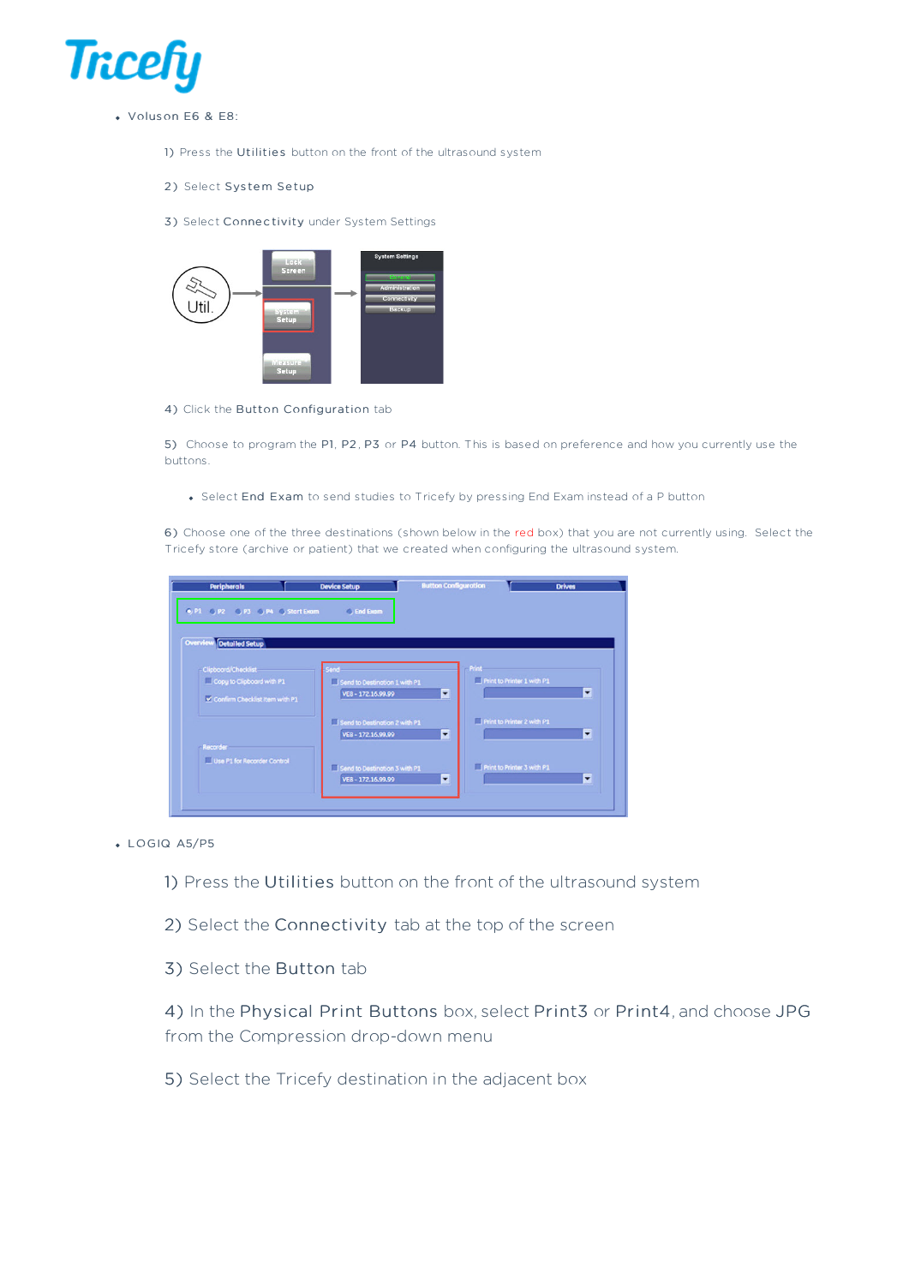

- Volus on E6 & E8:
	- 1) Press the Utilities button on the front of the ultrasound system
	- 2) Select System Setup
	- 3) Select Connectivity under System Settings



4) Click the Button Configuration tab

5) Choose to program the P1, P2 , P3 or P4 button. This is based on preference and how you currently use the buttons.

Select End Exam to send studies to Tricefy by pressing End Exam instead of a P button

6) Choose one of the three destinations (shown below in the red box) that you are not currently using. Select the Tricefy store (archive or patient) that we created when configuring the ultrasound system.



LO GIQ A5/P5

1) Press the Utilities button on the front of the ultrasound system

- 2) Select the Connectivity tab at the top of the screen
- 3) Select the Button tab

4) In the Physical Print Buttons box, select Print3 or Print4, and choose JPG from the Compression drop-down menu

5) Select the Tricefy destination in the adjacent box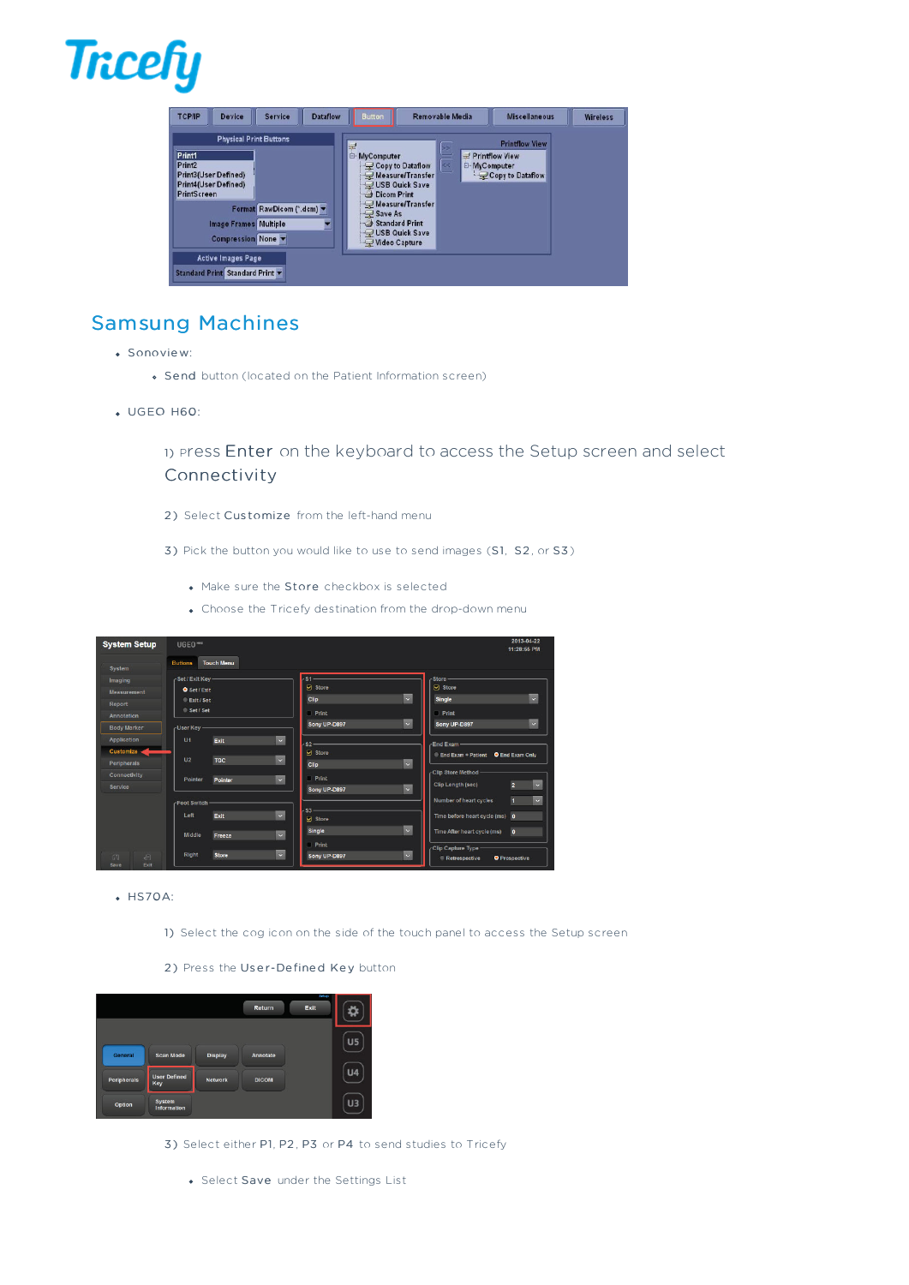

| <b>TCP/IP</b><br><b>Dataflow</b><br><b>Device</b><br><b>Service</b>                                                                                                                                                                                                               | <b>Button</b>                                                                                                                                                                                   | Removable Media     | <b>Miscellaneous</b>                                                 | <b>Wireless</b> |
|-----------------------------------------------------------------------------------------------------------------------------------------------------------------------------------------------------------------------------------------------------------------------------------|-------------------------------------------------------------------------------------------------------------------------------------------------------------------------------------------------|---------------------|----------------------------------------------------------------------|-----------------|
| <b>Physical Print Buttons</b><br>Print1<br>Print <sub>2</sub><br>Print3(User Defined)<br>Print4(User Defined)<br>PrintScreen<br>Format RawDicom (*.dcm) v<br><b>Image Frames Multiple</b><br>Y.<br>Compression None<br><b>Active Images Page</b><br>Standard Print Standard Print | E<br><b>E-MyComputer</b><br>Copy to Dataflow<br>Measure/Transfer<br>USB Quick Save<br>Dicom Print<br>Measure/Transfer<br>$\bigcup$ Save As<br>Standard Print<br>USB Quick Save<br>Video Capture | <b>E-MyComputer</b> | <b>Printflow View</b><br>$\equiv$ Printflow View<br>Copy to Dataflow |                 |

# Samsung Machines

- Sonovie w:
	- Se nd button (located on the Patient Information screen)
- UGEO H60:

1) <sup>P</sup>ress Enter on the keyboard to access the Setup screen and select Connectivity

- 2) Select Customize from the left-hand menu
- 3) Pick the button you would like to use to send images (S1, S2, or S3)
	- Make sure the Store checkbox is selected
	- Choose the Tricefy destination from the drop-down menu

| <b>System Setup</b> | UGEO <sup>Hoo</sup> |                   |                                       |            |                              | 2013-04-22<br>11:28:55 PM |
|---------------------|---------------------|-------------------|---------------------------------------|------------|------------------------------|---------------------------|
| <b>System</b>       | <b>Buttons</b>      | <b>Touch Menu</b> |                                       |            |                              |                           |
| Imaging             | -Set / Exit Kev-    |                   | s1                                    |            | <b>Store</b>                 |                           |
| <b>Measurement</b>  | <b>O</b> Set / Exit |                   | <b>D</b> Store                        |            | Store                        |                           |
| Report              | Exit / Set          |                   | Clip                                  | $\backsim$ | Single                       | $\checkmark$              |
| Annotation          | Set / Set           |                   | Print                                 |            | <b>Print</b>                 |                           |
| <b>Body Marker</b>  | -User Key-          |                   | Sony UP-D897                          | $\sim$     | Sony UP-D897                 | $\backsim$                |
| <b>Application</b>  | U <sub>1</sub>      | Exit              | $\backsim$<br>S2                      |            | <b>End Exam</b>              |                           |
| <b>Customize</b>    |                     |                   | <b>⊠</b> Store                        |            | <b>End Exam + Patient</b>    | <b>O</b> End Exam Only    |
| <b>Peripherals</b>  | U <sub>2</sub>      | <b>TGC</b>        | $\checkmark$<br>Clip                  | $\sim$     |                              |                           |
| <b>Connectivity</b> | Pointer             | Pointer           | Print<br>$\checkmark$                 |            | <b>Clip Store Method</b>     |                           |
| <b>Service</b>      |                     |                   | Sony UP-D897                          | $\sim$     | <b>Clip Length (sec)</b>     | $\overline{2}$<br>$\sim$  |
|                     | Foot Switch         |                   |                                       |            | Number of heart cycles       | п<br>$\checkmark$         |
|                     | Left                | Exit              | \$3<br>$\checkmark$<br><b>Ø</b> Store |            | Time before heart cycle (ms) | $\bullet$                 |
|                     | Middle              | Freeze            | Single<br>$\checkmark$                | $\backsim$ | Time After heart cycle (ms)  | $\bullet$                 |
|                     |                     |                   | Print                                 |            | Clip Capture Type -          |                           |
| 高<br>目              | Right               | <b>Store</b>      | $\checkmark$<br>Sony UP-D897          | $\sim$     | Retrospective                | <b>O</b> Prospective      |

- $HSTOA$ 
	- 1) Select the cog icon on the side of the touch panel to access the Setup screen
	- 2) Press the User-Defined Key button

|             |                            |                | Return          | Setup<br>Exit |                |
|-------------|----------------------------|----------------|-----------------|---------------|----------------|
| General     | <b>Scan Mode</b>           | <b>Display</b> | <b>Annotate</b> |               | U <sub>5</sub> |
| Peripherals | <b>User Defined</b><br>Key | <b>Network</b> | <b>DICOM</b>    |               | <b>U4</b>      |
| Option      | System<br>Information      |                |                 |               | U3             |

- 3) Select either P1, P2 , P3 or P4 to send studies to Tricefy
	- Select Save under the Settings List